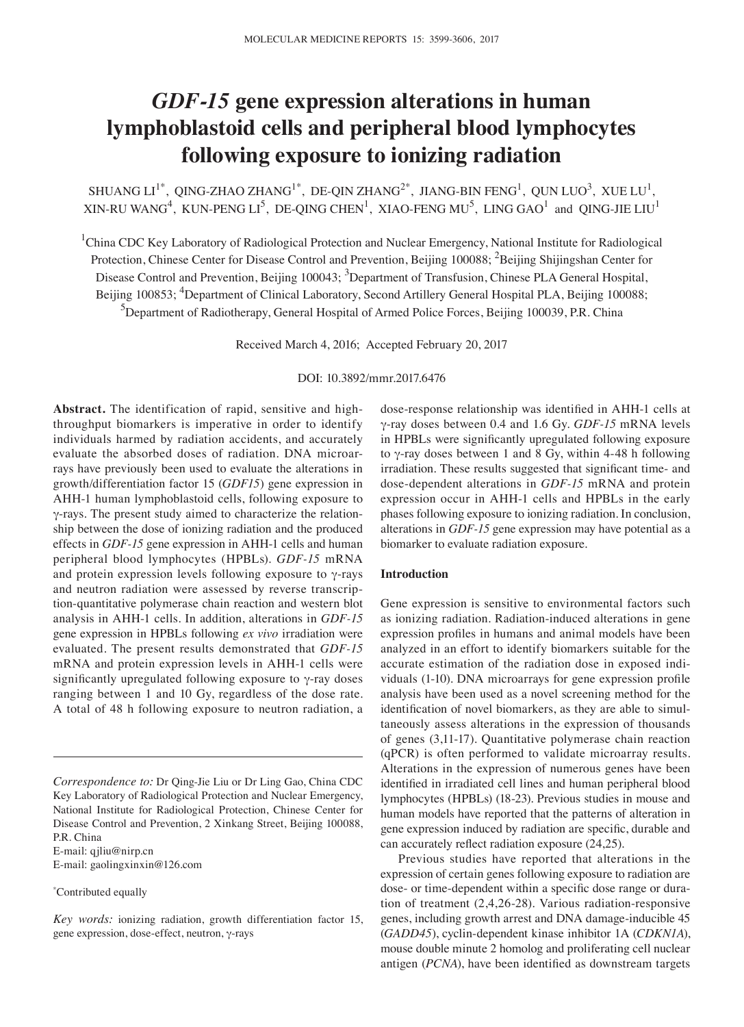# *GDF-15* **gene expression alterations in human lymphoblastoid cells and peripheral blood lymphocytes following exposure to ionizing radiation**

SHUANG LI<sup>1\*</sup>, QING-ZHAO ZHANG<sup>1\*</sup>, DE-QIN ZHANG<sup>2\*</sup>, JIANG-BIN FENG<sup>1</sup>, QUN LUO<sup>3</sup>, XUE LU<sup>1</sup>, XIN-RU WANG<sup>4</sup>, KUN-PENG LI<sup>5</sup>, DE-QING CHEN<sup>1</sup>, XIAO-FENG MU<sup>5</sup>, LING GAO<sup>1</sup> and QING-JIE LIU<sup>1</sup>

<sup>1</sup>China CDC Key Laboratory of Radiological Protection and Nuclear Emergency, National Institute for Radiological Protection, Chinese Center for Disease Control and Prevention, Beijing 100088; <sup>2</sup>Beijing Shijingshan Center for Disease Control and Prevention, Beijing 100043; <sup>3</sup>Department of Transfusion, Chinese PLA General Hospital, Beijing 100853; <sup>4</sup>Department of Clinical Laboratory, Second Artillery General Hospital PLA, Beijing 100088; <sup>5</sup>Department of Radiotherapy, General Hospital of Armed Police Forces, Beijing 100039, P.R. China

Received March 4, 2016; Accepted February 20, 2017

DOI: 10.3892/mmr.2017.6476

**Abstract.** The identification of rapid, sensitive and highthroughput biomarkers is imperative in order to identify individuals harmed by radiation accidents, and accurately evaluate the absorbed doses of radiation. DNA microarrays have previously been used to evaluate the alterations in growth/differentiation factor 15 (*GDF15*) gene expression in AHH-1 human lymphoblastoid cells, following exposure to γ-rays. The present study aimed to characterize the relationship between the dose of ionizing radiation and the produced effects in *GDF‑15* gene expression in AHH-1 cells and human peripheral blood lymphocytes (HPBLs). *GDF‑15* mRNA and protein expression levels following exposure to γ-rays and neutron radiation were assessed by reverse transcription-quantitative polymerase chain reaction and western blot analysis in AHH-1 cells. In addition, alterations in *GDF‑15* gene expression in HPBLs following *ex vivo* irradiation were evaluated. The present results demonstrated that *GDF‑15* mRNA and protein expression levels in AHH-1 cells were significantly upregulated following exposure to γ-ray doses ranging between 1 and 10 Gy, regardless of the dose rate. A total of 48 h following exposure to neutron radiation, a

E-mail: gaolingxinxin@126.com

dose‑response relationship was identified in AHH‑1 cells at γ-ray doses between 0.4 and 1.6 Gy. *GDF‑15* mRNA levels in HPBLs were significantly upregulated following exposure to γ-ray doses between 1 and 8 Gy, within 4-48 h following irradiation. These results suggested that significant time- and dose-dependent alterations in *GDF‑15* mRNA and protein expression occur in AHH-1 cells and HPBLs in the early phases following exposure to ionizing radiation. In conclusion, alterations in *GDF‑15* gene expression may have potential as a biomarker to evaluate radiation exposure.

## **Introduction**

Gene expression is sensitive to environmental factors such as ionizing radiation. Radiation-induced alterations in gene expression profiles in humans and animal models have been analyzed in an effort to identify biomarkers suitable for the accurate estimation of the radiation dose in exposed individuals (1-10). DNA microarrays for gene expression profile analysis have been used as a novel screening method for the identification of novel biomarkers, as they are able to simultaneously assess alterations in the expression of thousands of genes (3,11-17). Quantitative polymerase chain reaction (qPCR) is often performed to validate microarray results. Alterations in the expression of numerous genes have been identified in irradiated cell lines and human peripheral blood lymphocytes (HPBLs) (18-23). Previous studies in mouse and human models have reported that the patterns of alteration in gene expression induced by radiation are specific, durable and can accurately reflect radiation exposure (24,25).

Previous studies have reported that alterations in the expression of certain genes following exposure to radiation are dose‑ or time‑dependent within a specific dose range or duration of treatment (2,4,26-28). Various radiation-responsive genes, including growth arrest and DNA damage-inducible 45 (*GADD45*), cyclin-dependent kinase inhibitor 1A (*CDKN1A*), mouse double minute 2 homolog and proliferating cell nuclear antigen (*PCNA*), have been identified as downstream targets

*Correspondence to:* Dr Qing-Jie Liu or Dr Ling Gao, China CDC Key Laboratory of Radiological Protection and Nuclear Emergency, National Institute for Radiological Protection, Chinese Center for Disease Control and Prevention, 2 Xinkang Street, Beijing 100088, P.R. China E-mail: qjliu@nirp.cn

<sup>\*</sup> Contributed equally

*Key words:* ionizing radiation, growth differentiation factor 15, gene expression, dose-effect, neutron, γ-rays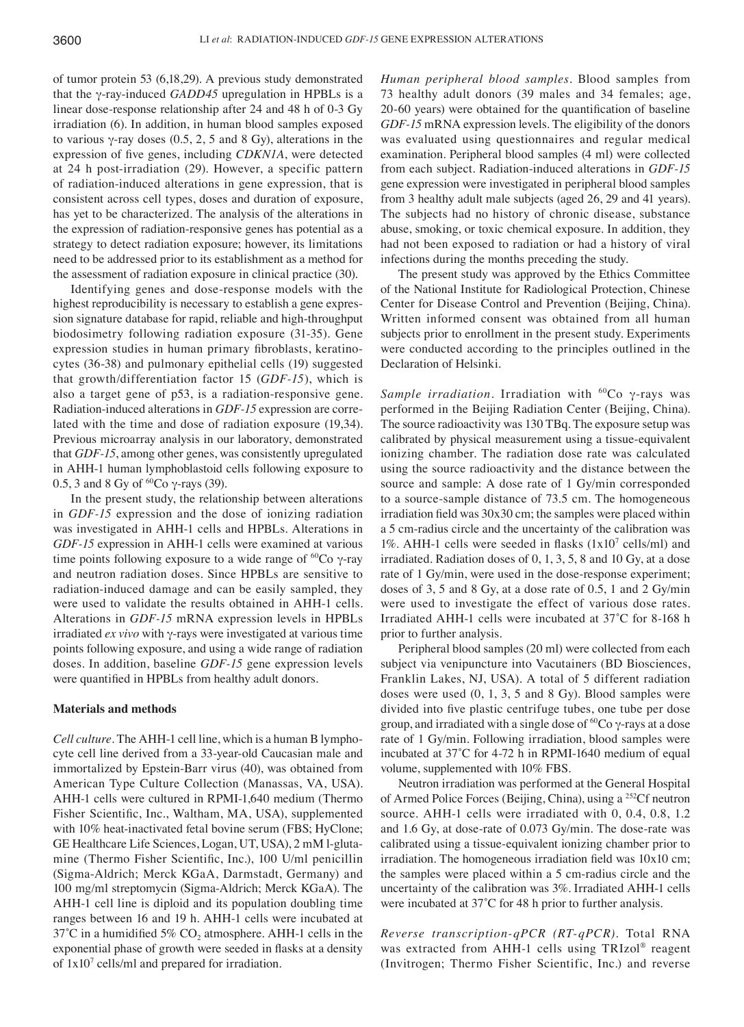of tumor protein 53 (6,18,29). A previous study demonstrated that the γ-ray-induced *GADD45* upregulation in HPBLs is a linear dose-response relationship after 24 and 48 h of 0-3 Gy irradiation (6). In addition, in human blood samples exposed to various γ-ray doses (0.5, 2, 5 and 8 Gy), alterations in the expression of five genes, including *CDKN1A*, were detected at 24 h post-irradiation (29). However, a specific pattern of radiation-induced alterations in gene expression, that is consistent across cell types, doses and duration of exposure, has yet to be characterized. The analysis of the alterations in the expression of radiation-responsive genes has potential as a strategy to detect radiation exposure; however, its limitations need to be addressed prior to its establishment as a method for the assessment of radiation exposure in clinical practice (30).

Identifying genes and dose-response models with the highest reproducibility is necessary to establish a gene expression signature database for rapid, reliable and high-throughput biodosimetry following radiation exposure (31-35). Gene expression studies in human primary fibroblasts, keratinocytes (36-38) and pulmonary epithelial cells (19) suggested that growth/differentiation factor 15 (*GDF‑15*), which is also a target gene of p53, is a radiation-responsive gene. Radiation-induced alterations in *GDF‑15* expression are correlated with the time and dose of radiation exposure (19,34). Previous microarray analysis in our laboratory, demonstrated that *GDF‑15*, among other genes, was consistently upregulated in AHH-1 human lymphoblastoid cells following exposure to 0.5, 3 and 8 Gy of <sup>60</sup>Co γ-rays (39).

In the present study, the relationship between alterations in *GDF‑15* expression and the dose of ionizing radiation was investigated in AHH-1 cells and HPBLs. Alterations in *GDF‑15* expression in AHH-1 cells were examined at various time points following exposure to a wide range of <sup>60</sup>Co γ-ray and neutron radiation doses. Since HPBLs are sensitive to radiation-induced damage and can be easily sampled, they were used to validate the results obtained in AHH-1 cells. Alterations in *GDF‑15* mRNA expression levels in HPBLs irradiated *ex vivo* with γ-rays were investigated at various time points following exposure, and using a wide range of radiation doses. In addition, baseline *GDF‑15* gene expression levels were quantified in HPBLs from healthy adult donors.

# **Materials and methods**

*Cell culture.* The AHH-1 cell line, which is a human B lymphocyte cell line derived from a 33-year-old Caucasian male and immortalized by Epstein-Barr virus (40), was obtained from American Type Culture Collection (Manassas, VA, USA). AHH-1 cells were cultured in RPMI-1,640 medium (Thermo Fisher Scientific, Inc., Waltham, MA, USA), supplemented with 10% heat-inactivated fetal bovine serum (FBS; HyClone; GE Healthcare Life Sciences, Logan, UT, USA), 2 mM l-glutamine (Thermo Fisher Scientific, Inc.), 100 U/ml penicillin (Sigma-Aldrich; Merck KGaA, Darmstadt, Germany) and 100 mg/ml streptomycin (Sigma-Aldrich; Merck KGaA). The AHH-1 cell line is diploid and its population doubling time ranges between 16 and 19 h. AHH-1 cells were incubated at 37°C in a humidified 5%  $CO<sub>2</sub>$  atmosphere. AHH-1 cells in the exponential phase of growth were seeded in flasks at a density of  $1x10^7$  cells/ml and prepared for irradiation.

*Human peripheral blood samples.* Blood samples from 73 healthy adult donors (39 males and 34 females; age, 20‑60 years) were obtained for the quantification of baseline *GDF‑15* mRNA expression levels. The eligibility of the donors was evaluated using questionnaires and regular medical examination. Peripheral blood samples (4 ml) were collected from each subject. Radiation-induced alterations in *GDF‑15* gene expression were investigated in peripheral blood samples from 3 healthy adult male subjects (aged 26, 29 and 41 years). The subjects had no history of chronic disease, substance abuse, smoking, or toxic chemical exposure. In addition, they had not been exposed to radiation or had a history of viral infections during the months preceding the study.

The present study was approved by the Ethics Committee of the National Institute for Radiological Protection, Chinese Center for Disease Control and Prevention (Beijing, China). Written informed consent was obtained from all human subjects prior to enrollment in the present study. Experiments were conducted according to the principles outlined in the Declaration of Helsinki.

*Sample irradiation.* Irradiation with <sup>60</sup>Co γ-rays was performed in the Beijing Radiation Center (Beijing, China). The source radioactivity was 130 TBq. The exposure setup was calibrated by physical measurement using a tissue-equivalent ionizing chamber. The radiation dose rate was calculated using the source radioactivity and the distance between the source and sample: A dose rate of 1 Gy/min corresponded to a source-sample distance of 73.5 cm. The homogeneous irradiation field was 30x30 cm; the samples were placed within a 5 cm-radius circle and the uncertainty of the calibration was 1%. AHH-1 cells were seeded in flasks  $(1x10^7 \text{ cells/ml})$  and irradiated. Radiation doses of 0, 1, 3, 5, 8 and 10 Gy, at a dose rate of 1 Gy/min, were used in the dose-response experiment; doses of 3, 5 and 8 Gy, at a dose rate of 0.5, 1 and 2 Gy/min were used to investigate the effect of various dose rates. Irradiated AHH-1 cells were incubated at 37°C for 8-168 h prior to further analysis.

Peripheral blood samples (20 ml) were collected from each subject via venipuncture into Vacutainers (BD Biosciences, Franklin Lakes, NJ, USA). A total of 5 different radiation doses were used (0, 1, 3, 5 and 8 Gy). Blood samples were divided into five plastic centrifuge tubes, one tube per dose group, and irradiated with a single dose of  ${}^{60}Co$   $\gamma$ -rays at a dose rate of 1 Gy/min. Following irradiation, blood samples were incubated at 37˚C for 4‑72 h in RPMI‑1640 medium of equal volume, supplemented with 10% FBS.

Neutron irradiation was performed at the General Hospital of Armed Police Forces (Beijing, China), using a 252Cf neutron source. AHH-1 cells were irradiated with 0, 0.4, 0.8, 1.2 and 1.6 Gy, at dose-rate of 0.073 Gy/min. The dose-rate was calibrated using a tissue-equivalent ionizing chamber prior to irradiation. The homogeneous irradiation field was 10x10 cm; the samples were placed within a 5 cm-radius circle and the uncertainty of the calibration was 3%. Irradiated AHH-1 cells were incubated at 37°C for 48 h prior to further analysis.

*Reverse transcription‑qPCR (RT‑qPCR).* Total RNA was extracted from AHH-1 cells using TRIzol® reagent (Invitrogen; Thermo Fisher Scientific, Inc.) and reverse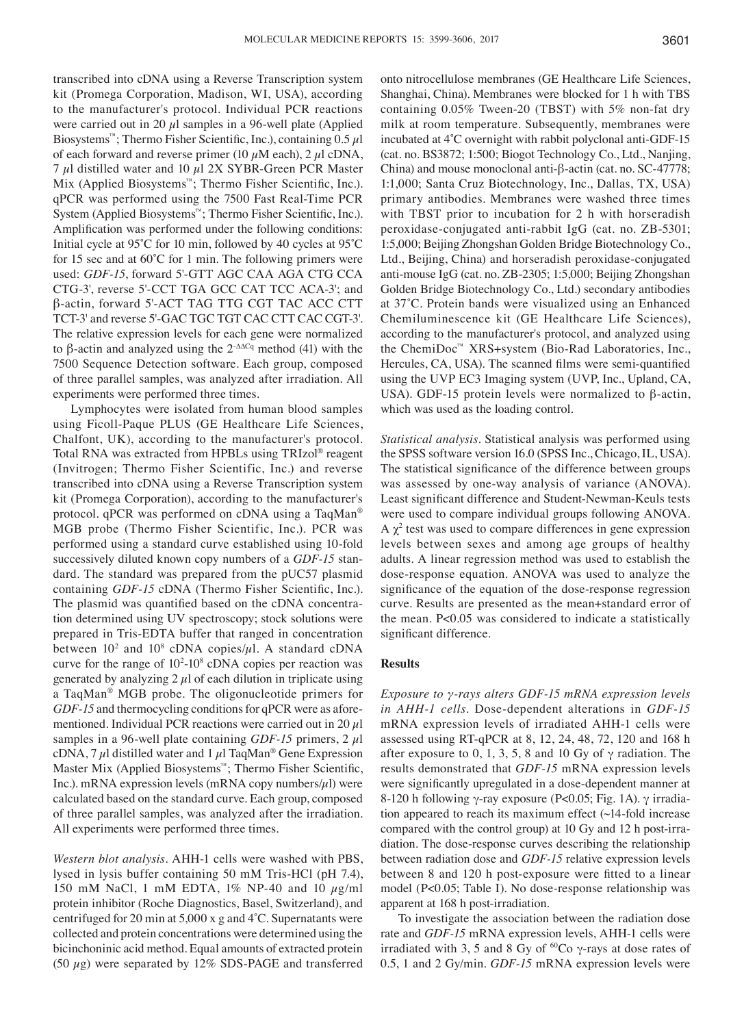transcribed into cDNA using a Reverse Transcription system kit (Promega Corporation, Madison, WI, USA), according to the manufacturer's protocol. Individual PCR reactions were carried out in 20  $\mu$ l samples in a 96-well plate (Applied Biosystems<sup>™</sup>; Thermo Fisher Scientific, Inc.), containing  $0.5 \mu$ l of each forward and reverse primer (10  $\mu$ M each), 2  $\mu$ l cDNA, 7  $\mu$ l distilled water and 10  $\mu$ l 2X SYBR-Green PCR Master Mix (Applied Biosystems™; Thermo Fisher Scientific, Inc.). qPCR was performed using the 7500 Fast Real-Time PCR System (Applied Biosystems™; Thermo Fisher Scientific, Inc.). Amplification was performed under the following conditions: Initial cycle at 95˚C for 10 min, followed by 40 cycles at 95˚C for 15 sec and at 60˚C for 1 min. The following primers were used: *GDF‑15*, forward 5'-GTT AGC CAA AGA CTG CCA CTG-3', reverse 5'-CCT TGA GCC CAT TCC ACA-3'; and β‑actin, forward 5'‑ACT TAG TTG CGT TAC ACC CTT TCT-3' and reverse 5'-GAC TGC TGT CAC CTT CAC CGT-3'. The relative expression levels for each gene were normalized to β-actin and analyzed using the  $2$ <sup>- $ΔΔCq$ </sup> method (41) with the 7500 Sequence Detection software. Each group, composed of three parallel samples, was analyzed after irradiation. All experiments were performed three times.

Lymphocytes were isolated from human blood samples using Ficoll-Paque PLUS (GE Healthcare Life Sciences, Chalfont, UK), according to the manufacturer's protocol. Total RNA was extracted from HPBLs using TRIzol® reagent (Invitrogen; Thermo Fisher Scientific, Inc.) and reverse transcribed into cDNA using a Reverse Transcription system kit (Promega Corporation), according to the manufacturer's protocol. qPCR was performed on cDNA using a TaqMan® MGB probe (Thermo Fisher Scientific, Inc.). PCR was performed using a standard curve established using 10-fold successively diluted known copy numbers of a *GDF‑15* standard. The standard was prepared from the pUC57 plasmid containing *GDF‑15* cDNA (Thermo Fisher Scientific, Inc.). The plasmid was quantified based on the cDNA concentration determined using UV spectroscopy; stock solutions were prepared in Tris-EDTA buffer that ranged in concentration between  $10^2$  and  $10^8$  cDNA copies/ $\mu$ l. A standard cDNA curve for the range of  $10^2$ -10<sup>8</sup> cDNA copies per reaction was generated by analyzing  $2 \mu$ l of each dilution in triplicate using a TaqMan® MGB probe. The oligonucleotide primers for *GDF‑15* and thermocycling conditions for qPCR were as aforementioned. Individual PCR reactions were carried out in 20  $\mu$ l samples in a 96-well plate containing *GDF-15* primers,  $2 \mu$ l cDNA, 7  $\mu$ l distilled water and 1  $\mu$ l TaqMan<sup>®</sup> Gene Expression Master Mix (Applied Biosystems™; Thermo Fisher Scientific, Inc.). mRNA expression levels (mRNA copy numbers/ $\mu$ l) were calculated based on the standard curve. Each group, composed of three parallel samples, was analyzed after the irradiation. All experiments were performed three times.

*Western blot analysis.* AHH-1 cells were washed with PBS, lysed in lysis buffer containing 50 mM Tris-HCl (pH 7.4), 150 mM NaCl, 1 mM EDTA,  $1\%$  NP-40 and 10  $\mu$ g/ml protein inhibitor (Roche Diagnostics, Basel, Switzerland), and centrifuged for 20 min at 5,000 x g and 4˚C. Supernatants were collected and protein concentrations were determined using the bicinchoninic acid method. Equal amounts of extracted protein (50  $\mu$ g) were separated by 12% SDS-PAGE and transferred onto nitrocellulose membranes (GE Healthcare Life Sciences, Shanghai, China). Membranes were blocked for 1 h with TBS containing 0.05% Tween-20 (TBST) with 5% non-fat dry milk at room temperature. Subsequently, membranes were incubated at 4˚C overnight with rabbit polyclonal anti‑GDF‑15 (cat. no. BS3872; 1:500; Biogot Technology Co., Ltd., Nanjing, China) and mouse monoclonal anti-β-actin (cat. no. SC-47778; 1:1,000; Santa Cruz Biotechnology, Inc., Dallas, TX, USA) primary antibodies. Membranes were washed three times with TBST prior to incubation for 2 h with horseradish peroxidase-conjugated anti-rabbit IgG (cat. no. ZB-5301; 1:5,000; Beijing Zhongshan Golden Bridge Biotechnology Co., Ltd., Beijing, China) and horseradish peroxidase-conjugated anti-mouse IgG (cat. no. ZB-2305; 1:5,000; Beijing Zhongshan Golden Bridge Biotechnology Co., Ltd.) secondary antibodies at 37˚C. Protein bands were visualized using an Enhanced Chemiluminescence kit (GE Healthcare Life Sciences), according to the manufacturer's protocol, and analyzed using the ChemiDoc™ XRS+system (Bio-Rad Laboratories, Inc., Hercules, CA, USA). The scanned films were semi-quantified using the UVP EC3 Imaging system (UVP, Inc., Upland, CA, USA). GDF-15 protein levels were normalized to β-actin, which was used as the loading control.

*Statistical analysis.* Statistical analysis was performed using the SPSS software version 16.0 (SPSS Inc., Chicago, IL, USA). The statistical significance of the difference between groups was assessed by one-way analysis of variance (ANOVA). Least significant difference and Student‑Newman‑Keuls tests were used to compare individual groups following ANOVA.  $A \chi^2$  test was used to compare differences in gene expression levels between sexes and among age groups of healthy adults. A linear regression method was used to establish the dose-response equation. ANOVA was used to analyze the significance of the equation of the dose‑response regression curve. Results are presented as the mean+standard error of the mean. P<0.05 was considered to indicate a statistically significant difference.

# **Results**

*Exposure to γ‑rays alters GDF‑15 mRNA expression levels in AHH‑1 cells*. Dose-dependent alterations in *GDF‑15* mRNA expression levels of irradiated AHH-1 cells were assessed using RT-qPCR at 8, 12, 24, 48, 72, 120 and 168 h after exposure to 0, 1, 3, 5, 8 and 10 Gy of  $\gamma$  radiation. The results demonstrated that *GDF‑15* mRNA expression levels were significantly upregulated in a dose‑dependent manner at 8-120 h following γ-ray exposure (P<0.05; Fig. 1A). γ irradiation appeared to reach its maximum effect (~14-fold increase compared with the control group) at 10 Gy and 12 h post-irradiation. The dose-response curves describing the relationship between radiation dose and *GDF‑15* relative expression levels between 8 and 120 h post-exposure were fitted to a linear model (P<0.05; Table I). No dose-response relationship was apparent at 168 h post-irradiation.

To investigate the association between the radiation dose rate and *GDF‑15* mRNA expression levels, AHH-1 cells were irradiated with 3, 5 and 8 Gy of  ${}^{60}Co$  γ-rays at dose rates of 0.5, 1 and 2 Gy/min. *GDF‑15* mRNA expression levels were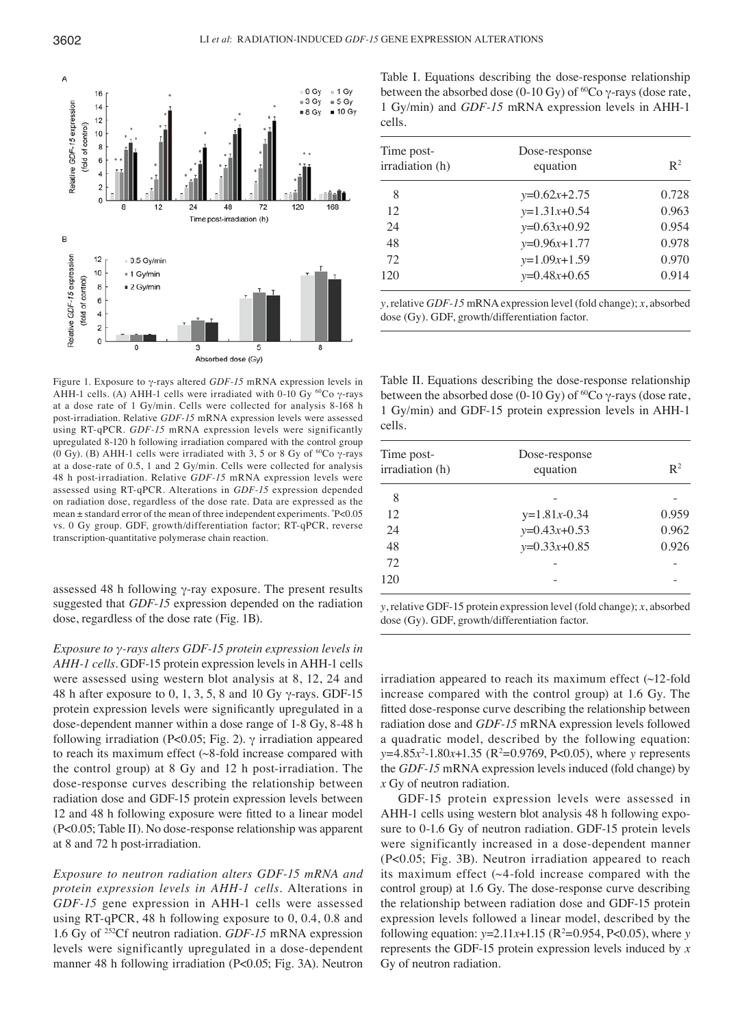

Figure 1. Exposure to γ-rays altered *GDF‑15* mRNA expression levels in AHH-1 cells. (A) AHH-1 cells were irradiated with 0-10 Gy <sup>60</sup>Co γ-rays at a dose rate of 1 Gy/min. Cells were collected for analysis 8-168 h post-irradiation. Relative *GDF‑15* mRNA expression levels were assessed using RT-qPCR. *GDF‑15* mRNA expression levels were significantly upregulated 8-120 h following irradiation compared with the control group (0 Gy). (B) AHH-1 cells were irradiated with 3, 5 or 8 Gy of <sup>60</sup>Co  $\gamma$ -rays at a dose-rate of 0.5, 1 and 2 Gy/min. Cells were collected for analysis 48 h post-irradiation. Relative *GDF‑15* mRNA expression levels were assessed using RT-qPCR. Alterations in *GDF‑15* expression depended on radiation dose, regardless of the dose rate. Data are expressed as the mean ± standard error of the mean of three independent experiments. \* P<0.05 vs. 0 Gy group. GDF, growth/differentiation factor; RT-qPCR, reverse transcription-quantitative polymerase chain reaction.

assessed 48 h following γ-ray exposure. The present results suggested that *GDF‑15* expression depended on the radiation dose, regardless of the dose rate (Fig. 1B).

*Exposure to γ‑rays alters GDF‑15 protein expression levels in AHH‑1 cells.* GDF-15 protein expression levels in AHH-1 cells were assessed using western blot analysis at 8, 12, 24 and 48 h after exposure to 0, 1, 3, 5, 8 and 10 Gy  $\gamma$ -rays. GDF-15 protein expression levels were significantly upregulated in a dose-dependent manner within a dose range of 1-8 Gy, 8-48 h following irradiation (P<0.05; Fig. 2).  $\gamma$  irradiation appeared to reach its maximum effect (~8-fold increase compared with the control group) at 8 Gy and 12 h post-irradiation. The dose-response curves describing the relationship between radiation dose and GDF-15 protein expression levels between 12 and 48 h following exposure were fitted to a linear model (P<0.05; Table II). No dose-response relationship was apparent at 8 and 72 h post-irradiation.

*Exposure to neutron radiation alters GDF‑15 mRNA and protein expression levels in AHH‑1 cells.* Alterations in *GDF‑15* gene expression in AHH-1 cells were assessed using RT-qPCR, 48 h following exposure to 0, 0.4, 0.8 and 1.6 Gy of 252Cf neutron radiation. *GDF‑15* mRNA expression levels were significantly upregulated in a dose-dependent manner 48 h following irradiation (P<0.05; Fig. 3A). Neutron Table I. Equations describing the dose-response relationship between the absorbed dose (0-10 Gy) of <sup>60</sup>Co  $\gamma$ -rays (dose rate, 1 Gy/min) and *GDF‑15* mRNA expression levels in AHH-1 cells.

| Time post-<br>irradiation (h) | Dose-response<br>equation | $\mathbb{R}^2$ |
|-------------------------------|---------------------------|----------------|
| 8                             | $y=0.62x+2.75$            | 0.728          |
| 12                            | $y=1.31x+0.54$            | 0.963          |
| 24                            | $y=0.63x+0.92$            | 0.954          |
| 48                            | $y=0.96x+1.77$            | 0.978          |
| 72                            | $y=1.09x+1.59$            | 0.970          |
| 120                           | $y=0.48x+0.65$            | 0.914          |

*y*, relative *GDF‑15* mRNA expression level (fold change); *x*, absorbed dose (Gy). GDF, growth/differentiation factor.

Table II. Equations describing the dose-response relationship between the absorbed dose (0-10 Gy) of <sup>60</sup>Co γ-rays (dose rate, 1 Gy/min) and GDF-15 protein expression levels in AHH-1 cells.

| Time post-<br>irradiation (h) | Dose-response<br>equation | $\mathbb{R}^2$ |
|-------------------------------|---------------------------|----------------|
| 8                             |                           |                |
| 12                            | $y=1.81x-0.34$            | 0.959          |
| 24                            | $y=0.43x+0.53$            | 0.962          |
| 48                            | $y=0.33x+0.85$            | 0.926          |
| 72                            |                           |                |
| 120                           |                           |                |

*y*, relative GDF-15 protein expression level (fold change); *x*, absorbed dose (Gy). GDF, growth/differentiation factor.

irradiation appeared to reach its maximum effect (~12-fold increase compared with the control group) at 1.6 Gy. The fitted dose‑response curve describing the relationship between radiation dose and *GDF‑15* mRNA expression levels followed a quadratic model, described by the following equation: *y*=4.85*x*<sup>2</sup>-1.80*x*+1.35 (R<sup>2</sup>=0.9769, P<0.05), where *y* represents the *GDF‑15* mRNA expression levels induced (fold change) by *x* Gy of neutron radiation.

GDF-15 protein expression levels were assessed in AHH-1 cells using western blot analysis 48 h following exposure to 0-1.6 Gy of neutron radiation. GDF-15 protein levels were significantly increased in a dose-dependent manner (P<0.05; Fig. 3B). Neutron irradiation appeared to reach its maximum effect  $(\sim 4$ -fold increase compared with the control group) at 1.6 Gy. The dose-response curve describing the relationship between radiation dose and GDF-15 protein expression levels followed a linear model, described by the following equation:  $y=2.11x+1.15$  ( $R^2=0.954$ ,  $P<0.05$ ), where *y* represents the GDF-15 protein expression levels induced by *x* Gy of neutron radiation.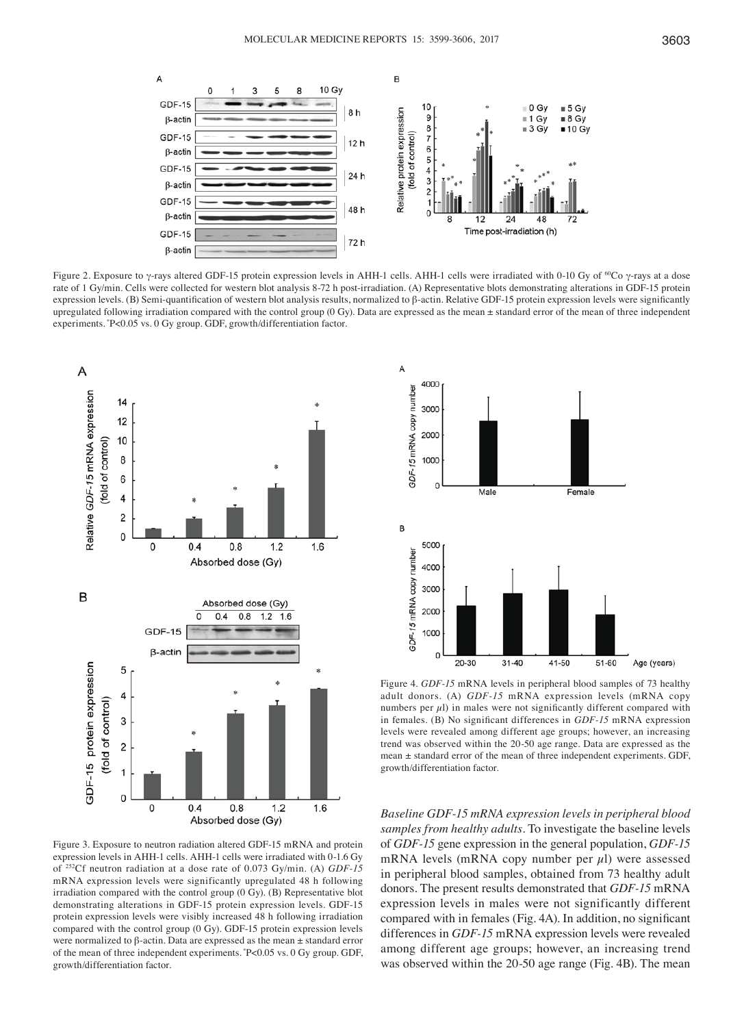

Figure 2. Exposure to γ-rays altered GDF-15 protein expression levels in AHH-1 cells. AHH-1 cells were irradiated with 0-10 Gy of <sup>60</sup>Co γ-rays at a dose rate of 1 Gy/min. Cells were collected for western blot analysis 8-72 h post-irradiation. (A) Representative blots demonstrating alterations in GDF-15 protein expression levels. (B) Semi-quantification of western blot analysis results, normalized to β-actin. Relative GDF-15 protein expression levels were significantly upregulated following irradiation compared with the control group (0 Gy). Data are expressed as the mean  $\pm$  standard error of the mean of three independent experiments. \*P<0.05 vs. 0 Gy group. GDF, growth/differentiation factor.



Figure 3. Exposure to neutron radiation altered GDF-15 mRNA and protein expression levels in AHH-1 cells. AHH-1 cells were irradiated with 0-1.6 Gy of 252Cf neutron radiation at a dose rate of 0.073 Gy/min. (A) *GDF‑15*  mRNA expression levels were significantly upregulated 48 h following irradiation compared with the control group (0 Gy). (B) Representative blot demonstrating alterations in GDF-15 protein expression levels. GDF-15 protein expression levels were visibly increased 48 h following irradiation compared with the control group (0 Gy). GDF-15 protein expression levels were normalized to β-actin. Data are expressed as the mean ± standard error of the mean of three independent experiments. \*P<0.05 vs. 0 Gy group. GDF, growth/differentiation factor.



Figure 4. *GDF‑15* mRNA levels in peripheral blood samples of 73 healthy adult donors. (A) *GDF‑15* mRNA expression levels (mRNA copy numbers per  $\mu$ l) in males were not significantly different compared with in females. (B) No significant differences in *GDF‑15* mRNA expression levels were revealed among different age groups; however, an increasing trend was observed within the 20-50 age range. Data are expressed as the mean ± standard error of the mean of three independent experiments. GDF, growth/differentiation factor.

*Baseline GDF‑15 mRNA expression levels in peripheral blood samples from healthy adults.* To investigate the baseline levels of *GDF‑15* gene expression in the general population, *GDF‑15* mRNA levels (mRNA copy number per  $\mu$ l) were assessed in peripheral blood samples, obtained from 73 healthy adult donors. The present results demonstrated that *GDF‑15* mRNA expression levels in males were not significantly different compared with in females (Fig. 4A). In addition, no significant differences in *GDF‑15* mRNA expression levels were revealed among different age groups; however, an increasing trend was observed within the 20-50 age range (Fig. 4B). The mean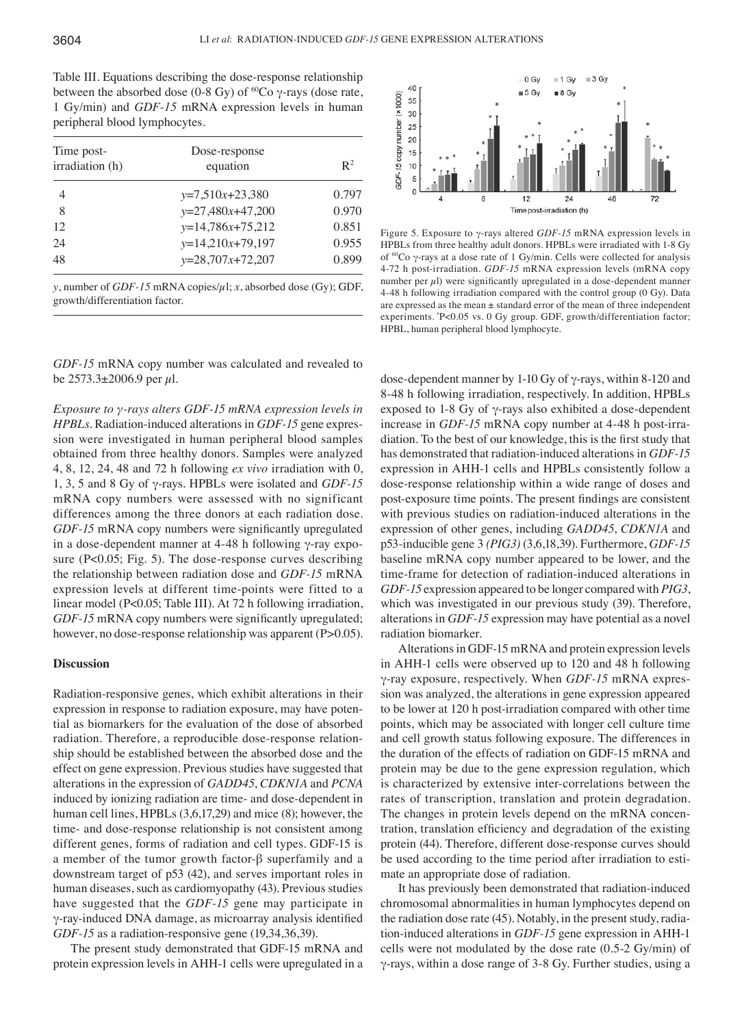Table III. Equations describing the dose-response relationship between the absorbed dose (0-8 Gy) of <sup>60</sup>Co  $\gamma$ -rays (dose rate, 1 Gy/min) and *GDF‑15* mRNA expression levels in human peripheral blood lymphocytes.

| Time post-<br>irradiation (h) | Dose-response<br>equation | $\mathbb{R}^2$ |
|-------------------------------|---------------------------|----------------|
| 4                             | $y=7,510x+23,380$         | 0.797          |
| 8                             | $y=27,480x+47,200$        | 0.970          |
| 12                            | $y=14,786x+75,212$        | 0.851          |
| 24                            | $y=14,210x+79,197$        | 0.955          |
| 48                            | $y=28,707x+72,207$        | 0.899          |
|                               |                           |                |

*y*, number of *GDF‑15* mRNA copies/µl; *x*, absorbed dose (Gy); GDF, growth/differentiation factor.

*GDF‑15* mRNA copy number was calculated and revealed to be  $2573.3 \pm 2006.9$  per  $\mu$ l.

*Exposure to γ‑rays alters GDF‑15 mRNA expression levels in HPBLs.* Radiation-induced alterations in *GDF‑15* gene expression were investigated in human peripheral blood samples obtained from three healthy donors. Samples were analyzed 4, 8, 12, 24, 48 and 72 h following *ex vivo* irradiation with 0, 1, 3, 5 and 8 Gy of γ-rays. HPBLs were isolated and *GDF‑15* mRNA copy numbers were assessed with no significant differences among the three donors at each radiation dose. *GDF-15* mRNA copy numbers were significantly upregulated in a dose-dependent manner at 4-48 h following γ-ray exposure (P<0.05; Fig. 5). The dose-response curves describing the relationship between radiation dose and *GDF‑15* mRNA expression levels at different time-points were fitted to a linear model (P<0.05; Table III). At 72 h following irradiation, *GDF-15* mRNA copy numbers were significantly upregulated; however, no dose-response relationship was apparent (P>0.05).

## **Discussion**

Radiation-responsive genes, which exhibit alterations in their expression in response to radiation exposure, may have potential as biomarkers for the evaluation of the dose of absorbed radiation. Therefore, a reproducible dose-response relationship should be established between the absorbed dose and the effect on gene expression. Previous studies have suggested that alterations in the expression of *GADD45*, *CDKN1A* and *PCNA* induced by ionizing radiation are time- and dose-dependent in human cell lines, HPBLs (3,6,17,29) and mice (8); however, the time- and dose-response relationship is not consistent among different genes, forms of radiation and cell types. GDF-15 is a member of the tumor growth factor-β superfamily and a downstream target of p53 (42), and serves important roles in human diseases, such as cardiomyopathy (43). Previous studies have suggested that the *GDF‑15* gene may participate in γ‑ray‑induced DNA damage, as microarray analysis identified *GDF-15* as a radiation-responsive gene (19,34,36,39).

The present study demonstrated that GDF-15 mRNA and protein expression levels in AHH-1 cells were upregulated in a



Figure 5. Exposure to γ-rays altered *GDF‑15* mRNA expression levels in HPBLs from three healthy adult donors. HPBLs were irradiated with 1-8 Gy of 60Co γ-rays at a dose rate of 1 Gy/min. Cells were collected for analysis 4-72 h post-irradiation. *GDF‑15* mRNA expression levels (mRNA copy number per  $\mu$ l) were significantly upregulated in a dose-dependent manner 4-48 h following irradiation compared with the control group (0 Gy). Data are expressed as the mean ± standard error of the mean of three independent experiments. \*P<0.05 vs. 0 Gy group. GDF, growth/differentiation factor; HPBL, human peripheral blood lymphocyte.

dose-dependent manner by 1-10 Gy of γ-rays, within 8-120 and 8-48 h following irradiation, respectively. In addition, HPBLs exposed to 1-8 Gy of γ-rays also exhibited a dose-dependent increase in *GDF‑15* mRNA copy number at 4-48 h post-irradiation. To the best of our knowledge, this is the first study that has demonstrated that radiation-induced alterations in *GDF‑15* expression in AHH-1 cells and HPBLs consistently follow a dose-response relationship within a wide range of doses and post‑exposure time points. The present findings are consistent with previous studies on radiation-induced alterations in the expression of other genes, including *GADD45*, *CDKN1A* and p53-inducible gene 3 *(PIG3)* (3,6,18,39). Furthermore, *GDF‑15* baseline mRNA copy number appeared to be lower, and the time-frame for detection of radiation-induced alterations in *GDF‑15* expression appeared to be longer compared with *PIG3*, which was investigated in our previous study (39). Therefore, alterations in *GDF‑15* expression may have potential as a novel radiation biomarker.

Alterations in GDF-15 mRNA and protein expression levels in AHH-1 cells were observed up to 120 and 48 h following γ-ray exposure, respectively. When *GDF‑15* mRNA expression was analyzed, the alterations in gene expression appeared to be lower at 120 h post-irradiation compared with other time points, which may be associated with longer cell culture time and cell growth status following exposure. The differences in the duration of the effects of radiation on GDF-15 mRNA and protein may be due to the gene expression regulation, which is characterized by extensive inter-correlations between the rates of transcription, translation and protein degradation. The changes in protein levels depend on the mRNA concentration, translation efficiency and degradation of the existing protein (44). Therefore, different dose-response curves should be used according to the time period after irradiation to estimate an appropriate dose of radiation.

It has previously been demonstrated that radiation-induced chromosomal abnormalities in human lymphocytes depend on the radiation dose rate (45). Notably, in the present study, radiation-induced alterations in *GDF‑15* gene expression in AHH-1 cells were not modulated by the dose rate (0.5-2 Gy/min) of γ-rays, within a dose range of 3-8 Gy. Further studies, using a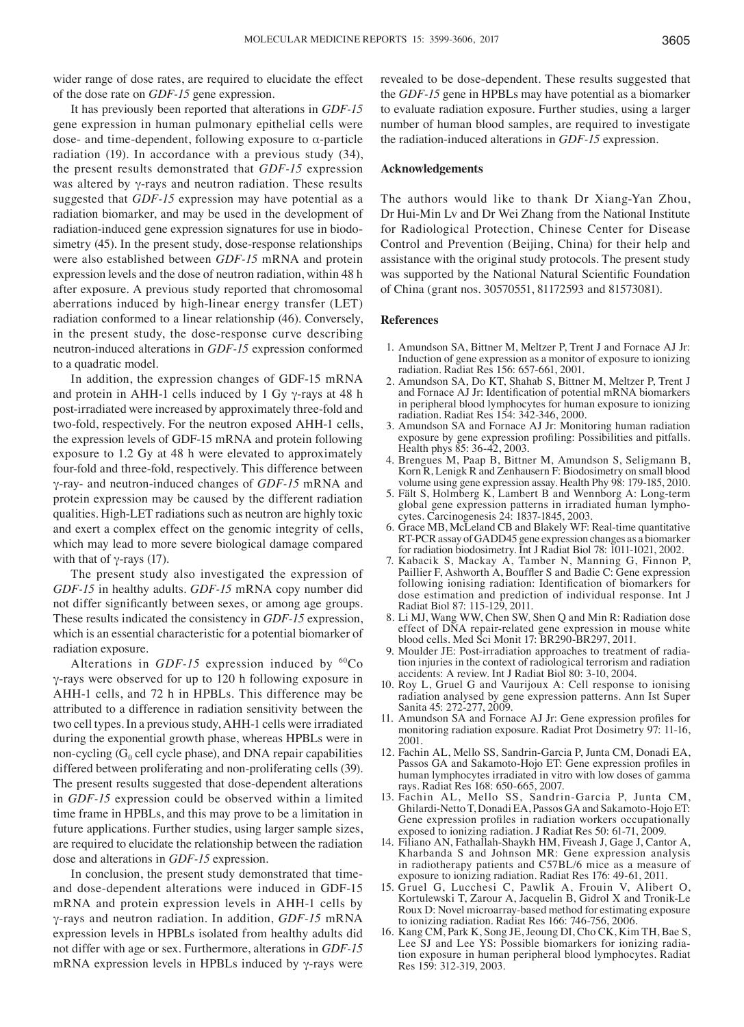wider range of dose rates, are required to elucidate the effect of the dose rate on *GDF‑15* gene expression.

It has previously been reported that alterations in *GDF‑15* gene expression in human pulmonary epithelial cells were dose- and time-dependent, following exposure to α-particle radiation (19). In accordance with a previous study (34), the present results demonstrated that *GDF‑15* expression was altered by γ-rays and neutron radiation. These results suggested that *GDF‑15* expression may have potential as a radiation biomarker, and may be used in the development of radiation-induced gene expression signatures for use in biodosimetry (45). In the present study, dose-response relationships were also established between *GDF‑15* mRNA and protein expression levels and the dose of neutron radiation, within 48 h after exposure. A previous study reported that chromosomal aberrations induced by high-linear energy transfer (LET) radiation conformed to a linear relationship (46). Conversely, in the present study, the dose-response curve describing neutron-induced alterations in *GDF‑15* expression conformed to a quadratic model.

In addition, the expression changes of GDF-15 mRNA and protein in AHH-1 cells induced by 1 Gy γ-rays at 48 h post-irradiated were increased by approximately three-fold and two-fold, respectively. For the neutron exposed AHH-1 cells, the expression levels of GDF-15 mRNA and protein following exposure to 1.2 Gy at 48 h were elevated to approximately four-fold and three-fold, respectively. This difference between γ-ray- and neutron-induced changes of *GDF‑15* mRNA and protein expression may be caused by the different radiation qualities. High-LET radiations such as neutron are highly toxic and exert a complex effect on the genomic integrity of cells, which may lead to more severe biological damage compared with that of  $γ$ -rays (17).

The present study also investigated the expression of *GDF‑15* in healthy adults. *GDF‑15* mRNA copy number did not differ significantly between sexes, or among age groups. These results indicated the consistency in *GDF‑15* expression, which is an essential characteristic for a potential biomarker of radiation exposure.

Alterations in *GDF-15* expression induced by <sup>60</sup>Co γ-rays were observed for up to 120 h following exposure in AHH-1 cells, and 72 h in HPBLs. This difference may be attributed to a difference in radiation sensitivity between the two cell types. In a previous study, AHH-1 cells were irradiated during the exponential growth phase, whereas HPBLs were in non-cycling  $(G_0$  cell cycle phase), and DNA repair capabilities differed between proliferating and non-proliferating cells (39). The present results suggested that dose-dependent alterations in *GDF‑15* expression could be observed within a limited time frame in HPBLs, and this may prove to be a limitation in future applications. Further studies, using larger sample sizes, are required to elucidate the relationship between the radiation dose and alterations in *GDF‑15* expression.

In conclusion, the present study demonstrated that timeand dose-dependent alterations were induced in GDF-15 mRNA and protein expression levels in AHH-1 cells by γ-rays and neutron radiation. In addition, *GDF‑15* mRNA expression levels in HPBLs isolated from healthy adults did not differ with age or sex. Furthermore, alterations in *GDF‑15* mRNA expression levels in HPBLs induced by  $γ$ -rays were revealed to be dose-dependent. These results suggested that the *GDF‑15* gene in HPBLs may have potential as a biomarker to evaluate radiation exposure. Further studies, using a larger number of human blood samples, are required to investigate the radiation-induced alterations in *GDF‑15* expression.

#### **Acknowledgements**

The authors would like to thank Dr Xiang-Yan Zhou, Dr Hui-Min Lv and Dr Wei Zhang from the National Institute for Radiological Protection, Chinese Center for Disease Control and Prevention (Beijing, China) for their help and assistance with the original study protocols. The present study was supported by the National Natural Scientific Foundation of China (grant nos. 30570551, 81172593 and 81573081).

#### **References**

- 1. Amundson SA, Bittner M, Meltzer P, Trent J and Fornace AJ Jr: Induction of gene expression as a monitor of exposure to ionizing radiation. Radiat Res 156: 657-661, 2001.
- 2. Amundson SA, Do KT, Shahab S, Bittner M, Meltzer P, Trent J and Fornace AJ Jr: Identification of potential mRNA biomarkers in peripheral blood lymphocytes for human exposure to ionizing radiation. Radiat Res 154: 342-346, 2000.
- 3. Amundson SA and Fornace AJ Jr: Monitoring human radiation exposure by gene expression profiling: Possibilities and pitfalls. Health phys 85: 36-42, 2003.
- 4. Brengues M, Paap B, Bittner M, Amundson S, Seligmann B, Korn R, Lenigk R and Zenhausern F: Biodosimetry on small blood volume using gene expression assay. Health Phy 98: 179-185, 2010.
- 5. Fält S, Holmberg K, Lambert B and Wennborg A: Long-term global gene expression patterns in irradiated human lymphocytes. Carcinogenesis 24: 1837-1845, 2003.
- 6. Grace MB, McLeland CB and Blakely WF: Real-time quantitative RT-PCR assay of GADD45 gene expression changes as a biomarker for radiation biodosimetry. Int J Radiat Biol 78: 1011-1021, 2002.
- 7. Kabacik S, Mackay A, Tamber N, Manning G, Finnon P, Paillier F, Ashworth A, Bouffler S and Badie C: Gene expression following ionising radiation: Identification of biomarkers for dose estimation and prediction of individual response. Int J Radiat Biol 87: 115-129, 2011.
- 8. Li MJ, Wang WW, Chen SW, Shen Q and Min R: Radiation dose effect of DNA repair-related gene expression in mouse white blood cells. Med Sci Monit 17: BR290-BR297, 2011.
- 9. Moulder JE: Post-irradiation approaches to treatment of radiation injuries in the context of radiological terrorism and radiation accidents: A review. Int J Radiat Biol 80: 3-10, 2004.
- 10. Roy L, Gruel G and Vaurijoux A: Cell response to ionising radiation analysed by gene expression patterns. Ann Ist Super Sanita 45: 272-277, 2009.
- 11. Amundson SA and Fornace AJ Jr: Gene expression profiles for monitoring radiation exposure. Radiat Prot Dosimetry 97: 11-16, 2001.
- 12. Fachin AL, Mello SS, Sandrin-Garcia P, Junta CM, Donadi EA, Passos GA and Sakamoto‑Hojo ET: Gene expression profiles in human lymphocytes irradiated in vitro with low doses of gamma rays. Radiat Res 168: 650-665, 2007.
- 13. Fachin AL, Mello SS, Sandrin-Garcia P, Junta CM, Ghilardi-Netto T, Donadi EA, Passos GA and Sakamoto-Hojo ET: Gene expression profiles in radiation workers occupationally exposed to ionizing radiation. J Radiat Res 50: 61-71, 2009.
- 14. Filiano AN, Fathallah-Shaykh HM, Fiveash J, Gage J, Cantor A, Kharbanda S and Johnson MR: Gene expression analysis in radiotherapy patients and C57BL/6 mice as a measure of exposure to ionizing radiation. Radiat Res 176: 49-61, 2011.
- 15. Gruel G, Lucchesi C, Pawlik A, Frouin V, Alibert O, Kortulewski T, Zarour A, Jacquelin B, Gidrol X and Tronik-Le Roux D: Novel microarray-based method for estimating exposure to ionizing radiation. Radiat Res 166: 746-756, 2006.
- 16. Kang CM, Park K, Song JE, Jeoung DI, Cho CK, Kim TH, Bae S, Lee SJ and Lee YS: Possible biomarkers for ionizing radiation exposure in human peripheral blood lymphocytes. Radiat Res 159: 312-319, 2003.